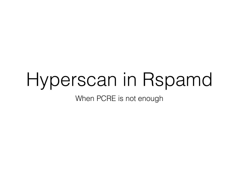### Hyperscan in Rspamd

When PCRE is not enough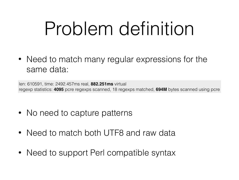# Problem definition

• Need to match many regular expressions for the same data:

len: 610591, time: 2492.457ms real, **882.251ms** virtual regexp statistics: **4095** pcre regexps scanned, 18 regexps matched, **694M** bytes scanned using pcre

- No need to capture patterns
- Need to match both UTF8 and raw data
- Need to support Perl compatible syntax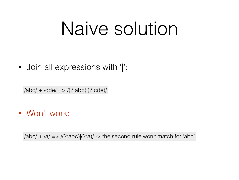### Naive solution

• Join all expressions with '|':

/abc/ + /cde/ => /(?:abc)|(?:cde)/

• Won't work:

 $/abc/ + 2a/ = > /$ (?:abc)|(?:a)/ -> the second rule won't match for 'abc'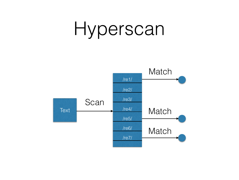### Hyperscan

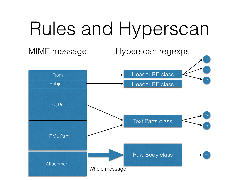# Rules and Hyperscan

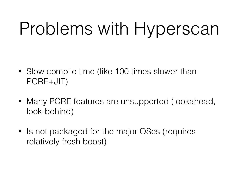## Problems with Hyperscan

- Slow compile time (like 100 times slower than PCRE+JIT)
- Many PCRE features are unsupported (lookahead, look-behind)
- Is not packaged for the major OSes (requires relatively fresh boost)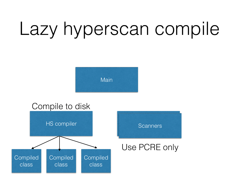







#### Use PCRE only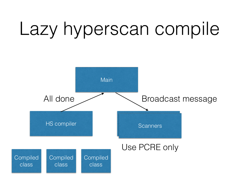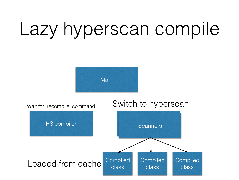

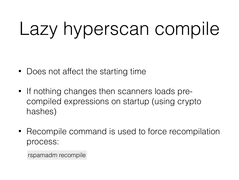- Does not affect the starting time
- If nothing changes then scanners loads precompiled expressions on startup (using crypto hashes)
- Recompile command is used to force recompilation process:

rspamadm recompile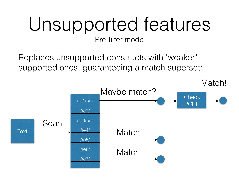#### Unsupported features Pre-filter mode

Replaces unsupported constructs with "weaker" supported ones, guaranteeing a match superset:

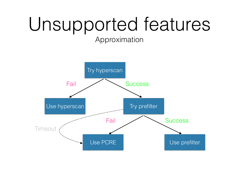# Unsupported features

Approximation

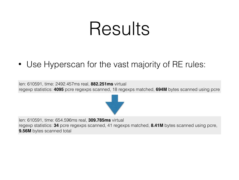### Results

• Use Hyperscan for the vast majority of RE rules:

len: 610591, time: 2492.457ms real, **882.251ms** virtual regexp statistics: **4095** pcre regexps scanned, 18 regexps matched, **694M** bytes scanned using pcre



len: 610591, time: 654.596ms real, **309.785ms** virtual regexp statistics: **34** pcre regexps scanned, 41 regexps matched, **8.41M** bytes scanned using pcre, **9.56M** bytes scanned total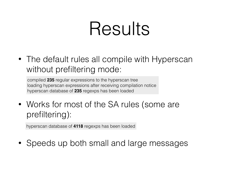### Results

• The default rules all compile with Hyperscan without prefiltering mode:

compiled **235** regular expressions to the hyperscan tree loading hyperscan expressions after receiving compilation notice hyperscan database of **235** regexps has been loaded

• Works for most of the SA rules (some are prefiltering):

hyperscan database of **4118** regexps has been loaded

• Speeds up both small and large messages